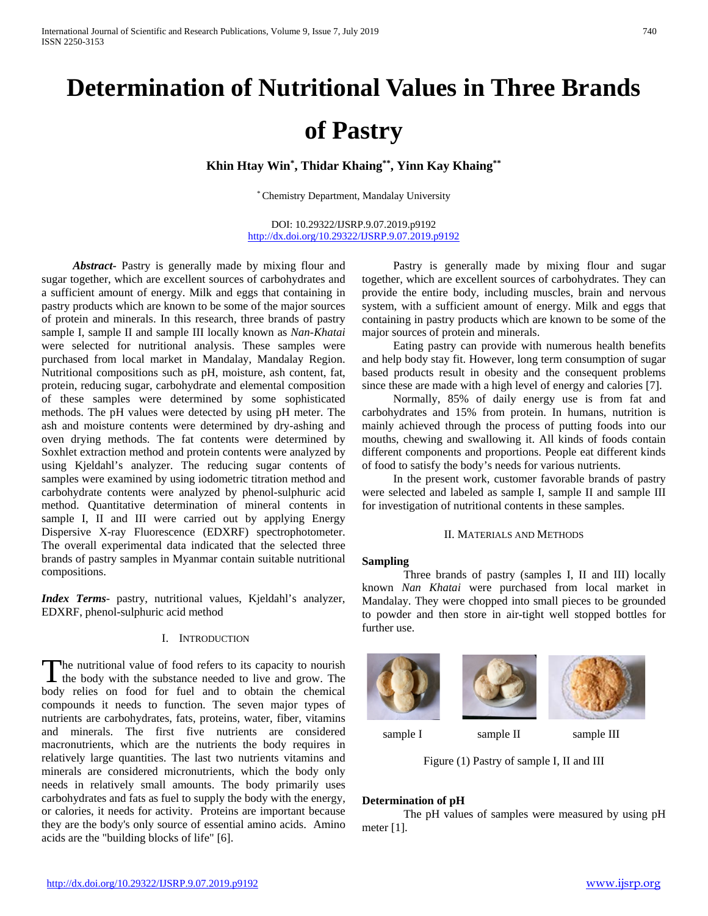# **Determination of Nutritional Values in Three Brands of Pastry**

**Khin Htay Win\* , Thidar Khaing\*\*, Yinn Kay Khaing\*\***

\* Chemistry Department, Mandalay University

DOI: 10.29322/IJSRP.9.07.2019.p9192 <http://dx.doi.org/10.29322/IJSRP.9.07.2019.p9192>

*Abstract***-** Pastry is generally made by mixing flour and sugar together, which are excellent sources of carbohydrates and a sufficient amount of energy. Milk and eggs that containing in pastry products which are known to be some of the major sources of protein and minerals. In this research, three brands of pastry sample I, sample II and sample III locally known as *Nan-Khatai*  were selected for nutritional analysis. These samples were purchased from local market in Mandalay, Mandalay Region. Nutritional compositions such as pH, moisture, ash content, fat, protein, reducing sugar, carbohydrate and elemental composition of these samples were determined by some sophisticated methods. The pH values were detected by using pH meter. The ash and moisture contents were determined by dry-ashing and oven drying methods. The fat contents were determined by Soxhlet extraction method and protein contents were analyzed by using Kjeldahl's analyzer. The reducing sugar contents of samples were examined by using iodometric titration method and carbohydrate contents were analyzed by phenol-sulphuric acid method. Quantitative determination of mineral contents in sample I, II and III were carried out by applying Energy Dispersive X-ray Fluorescence (EDXRF) spectrophotometer. The overall experimental data indicated that the selected three brands of pastry samples in Myanmar contain suitable nutritional compositions.

*Index Terms*- pastry, nutritional values, Kjeldahl's analyzer, EDXRF, phenol-sulphuric acid method

## I. INTRODUCTION

he nutritional value of food refers to its capacity to nourish The nutritional value of food refers to its capacity to nourish<br>the body with the substance needed to live and grow. The body relies on food for fuel and to obtain the chemical compounds it needs to function. The seven major types of nutrients are carbohydrates, fats, proteins, water, fiber, vitamins and minerals. The first five nutrients are considered macronutrients, which are the nutrients the body requires in relatively large quantities. The last two nutrients vitamins and minerals are considered micronutrients, which the body only needs in relatively small amounts. The body primarily uses carbohydrates and fats as fuel to supply the body with the energy, or calories, it needs for activity. Proteins are important because they are the body's only source of essential amino acids. Amino acids are the "building blocks of life" [6].

Pastry is generally made by mixing flour and sugar together, which are excellent sources of carbohydrates. They can provide the entire body, including muscles, brain and nervous system, with a sufficient amount of energy. Milk and eggs that containing in pastry products which are known to be some of the major sources of protein and minerals.

Eating pastry can provide with numerous health benefits and help body stay fit. However, long term consumption of sugar based products result in obesity and the consequent problems since these are made with a high level of energy and calories [7].

Normally, 85% of daily energy use is from fat and carbohydrates and 15% from protein. In humans, nutrition is mainly achieved through the process of putting foods into our mouths, chewing and swallowing it. All kinds of foods contain different components and proportions. People eat different kinds of food to satisfy the body's needs for various nutrients.

In the present work, customer favorable brands of pastry were selected and labeled as sample I, sample II and sample III for investigation of nutritional contents in these samples.

## II. MATERIALS AND METHODS

#### **Sampling**

Three brands of pastry (samples I, II and III) locally known *Nan Khatai* were purchased from local market in Mandalay. They were chopped into small pieces to be grounded to powder and then store in air-tight well stopped bottles for further use.







sample I sample II sample III

Figure (1) Pastry of sample I, II and III

#### **Determination of pH**

The pH values of samples were measured by using pH meter [1].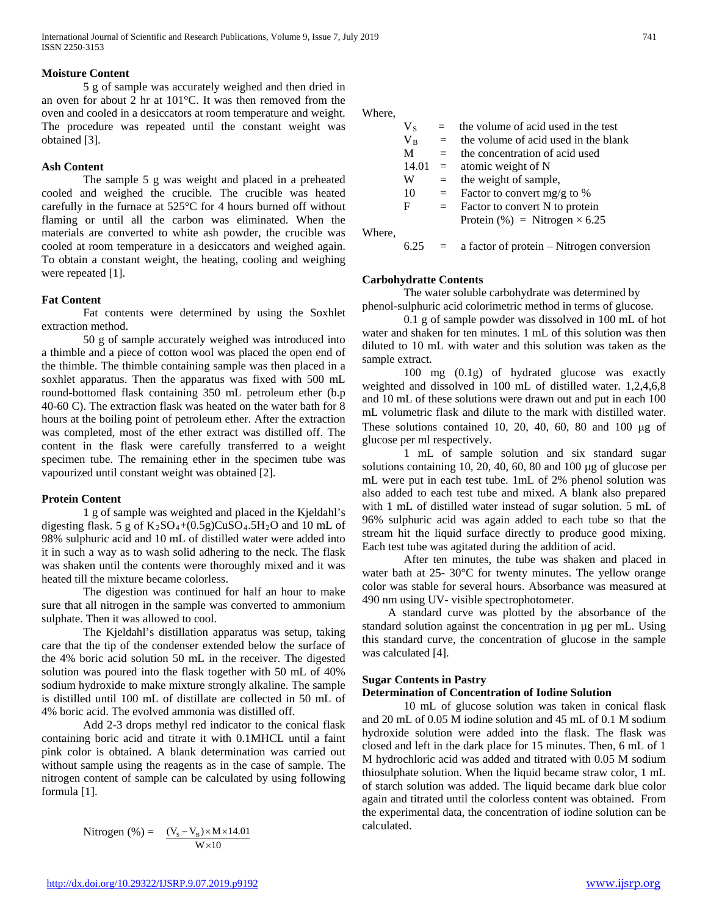## **Moisture Content**

5 g of sample was accurately weighed and then dried in an oven for about 2 hr at 101°C. It was then removed from the oven and cooled in a desiccators at room temperature and weight. The procedure was repeated until the constant weight was obtained [3].

#### **Ash Content**

The sample 5 g was weight and placed in a preheated cooled and weighed the crucible. The crucible was heated carefully in the furnace at 525°C for 4 hours burned off without flaming or until all the carbon was eliminated. When the materials are converted to white ash powder, the crucible was cooled at room temperature in a desiccators and weighed again. To obtain a constant weight, the heating, cooling and weighing were repeated [1].

#### **Fat Content**

Fat contents were determined by using the Soxhlet extraction method.

50 g of sample accurately weighed was introduced into a thimble and a piece of cotton wool was placed the open end of the thimble. The thimble containing sample was then placed in a soxhlet apparatus. Then the apparatus was fixed with 500 mL round-bottomed flask containing 350 mL petroleum ether (b.p 40-60 C). The extraction flask was heated on the water bath for 8 hours at the boiling point of petroleum ether. After the extraction was completed, most of the ether extract was distilled off. The content in the flask were carefully transferred to a weight specimen tube. The remaining ether in the specimen tube was vapourized until constant weight was obtained [2].

#### **Protein Content**

1 g of sample was weighted and placed in the Kjeldahl's digesting flask. 5 g of  $K_2SO_4+(0.5g)CuSO_4.5H_2O$  and 10 mL of 98% sulphuric acid and 10 mL of distilled water were added into it in such a way as to wash solid adhering to the neck. The flask was shaken until the contents were thoroughly mixed and it was heated till the mixture became colorless.

The digestion was continued for half an hour to make sure that all nitrogen in the sample was converted to ammonium sulphate. Then it was allowed to cool.

The Kjeldahl's distillation apparatus was setup, taking care that the tip of the condenser extended below the surface of the 4% boric acid solution 50 mL in the receiver. The digested solution was poured into the flask together with 50 mL of 40% sodium hydroxide to make mixture strongly alkaline. The sample is distilled until 100 mL of distillate are collected in 50 mL of 4% boric acid. The evolved ammonia was distilled off.

Add 2-3 drops methyl red indicator to the conical flask containing boric acid and titrate it with 0.1MHCL until a faint pink color is obtained. A blank determination was carried out without sample using the reagents as in the case of sample. The nitrogen content of sample can be calculated by using following formula [1].

Nitrogen (%) = 
$$
\frac{(V_s - V_B) \times M \times 14.01}{W \times 10}
$$

Where,

|        | $\rm V_{S}$ | $=$ | the volume of acid used in the test       |
|--------|-------------|-----|-------------------------------------------|
|        | $V_B$       | $=$ | the volume of acid used in the blank      |
|        | M           | $=$ | the concentration of acid used            |
|        |             |     | $14.01 =$ atomic weight of N              |
|        | W           | $=$ | the weight of sample,                     |
|        | 10          | $=$ | Factor to convert mg/g to $%$             |
|        | F           | $=$ | Factor to convert N to protein            |
|        |             |     | Protein $(\%)$ = Nitrogen $\times$ 6.25   |
| Where. |             |     |                                           |
|        |             |     | a factor of protein – Nitrogen conversion |

## **Carbohydratte Contents**

The water soluble carbohydrate was determined by phenol-sulphuric acid colorimetric method in terms of glucose.

0.1 g of sample powder was dissolved in 100 mL of hot water and shaken for ten minutes. 1 mL of this solution was then diluted to 10 mL with water and this solution was taken as the sample extract.

100 mg (0.1g) of hydrated glucose was exactly weighted and dissolved in 100 mL of distilled water. 1,2,4,6,8 and 10 mL of these solutions were drawn out and put in each 100 mL volumetric flask and dilute to the mark with distilled water. These solutions contained 10, 20, 40, 60, 80 and 100 µg of glucose per ml respectively.

1 mL of sample solution and six standard sugar solutions containing 10, 20, 40, 60, 80 and 100 µg of glucose per mL were put in each test tube. 1mL of 2% phenol solution was also added to each test tube and mixed. A blank also prepared with 1 mL of distilled water instead of sugar solution. 5 mL of 96% sulphuric acid was again added to each tube so that the stream hit the liquid surface directly to produce good mixing. Each test tube was agitated during the addition of acid.

After ten minutes, the tube was shaken and placed in water bath at 25- 30°C for twenty minutes. The yellow orange color was stable for several hours. Absorbance was measured at 490 nm using UV- visible spectrophotometer.

 A standard curve was plotted by the absorbance of the standard solution against the concentration in µg per mL. Using this standard curve, the concentration of glucose in the sample was calculated [4].

## **Sugar Contents in Pastry**

## **Determination of Concentration of Iodine Solution**

10 mL of glucose solution was taken in conical flask and 20 mL of 0.05 M iodine solution and 45 mL of 0.1 M sodium hydroxide solution were added into the flask. The flask was closed and left in the dark place for 15 minutes. Then, 6 mL of 1 M hydrochloric acid was added and titrated with 0.05 M sodium thiosulphate solution. When the liquid became straw color, 1 mL of starch solution was added. The liquid became dark blue color again and titrated until the colorless content was obtained. From the experimental data, the concentration of iodine solution can be calculated.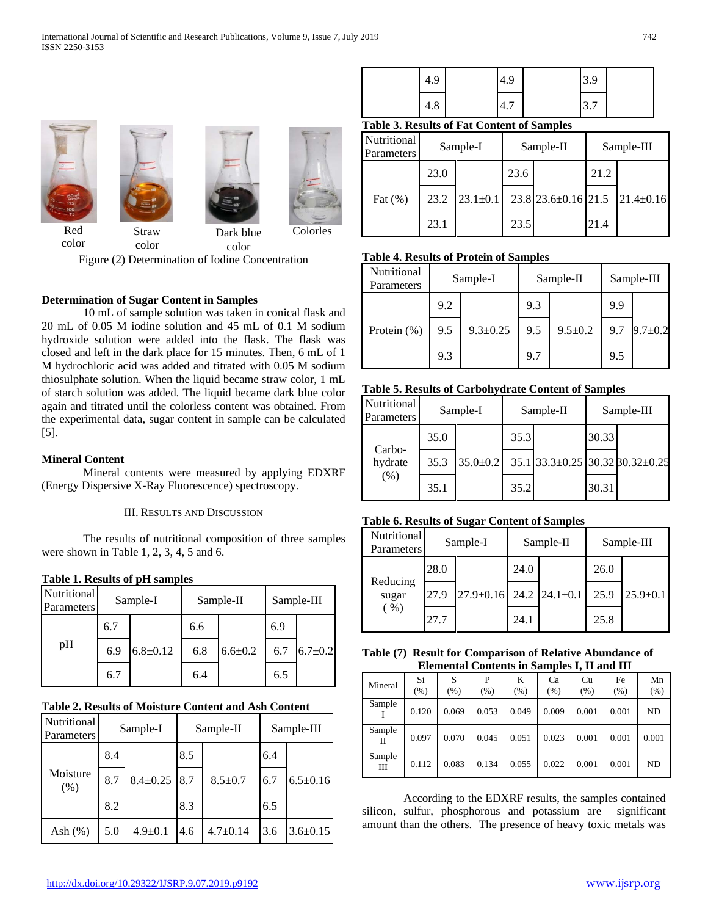

color

Figure (2) Determination of Iodine Concentration

# **Determination of Sugar Content in Samples**

color

10 mL of sample solution was taken in conical flask and 20 mL of 0.05 M iodine solution and 45 mL of 0.1 M sodium hydroxide solution were added into the flask. The flask was closed and left in the dark place for 15 minutes. Then, 6 mL of 1 M hydrochloric acid was added and titrated with 0.05 M sodium thiosulphate solution. When the liquid became straw color, 1 mL of starch solution was added. The liquid became dark blue color again and titrated until the colorless content was obtained. From the experimental data, sugar content in sample can be calculated [5].

## **Mineral Content**

color

Mineral contents were measured by applying EDXRF (Energy Dispersive X-Ray Fluorescence) spectroscopy.

## III. RESULTS AND DISCUSSION

The results of nutritional composition of three samples were shown in Table 1, 2, 3, 4, 5 and 6.

# **Table 1. Results of pH samples**

| Nutritional<br><b>Parameters</b> |     | Sample-I       |     | Sample-II   | Sample-III |               |
|----------------------------------|-----|----------------|-----|-------------|------------|---------------|
|                                  | 6.7 |                | 6.6 |             | 6.9        |               |
| pH                               | 6.9 | $6.8 \pm 0.12$ | 6.8 | $6.6 + 0.2$ | 6.7        | $6.7 \pm 0.2$ |
|                                  | 6.7 |                | 6.4 |             | 6.5        |               |

## **Table 2. Results of Moisture Content and Ash Content**

| Nutritional<br>Parameters | Sample-I |                |     | Sample-II      | Sample-III |                |  |
|---------------------------|----------|----------------|-----|----------------|------------|----------------|--|
|                           | 8.4      |                | 8.5 |                | 6.4        |                |  |
| Moisture<br>(% )          | 8.7      | $8.4 \pm 0.25$ | 8.7 | $8.5 \pm 0.7$  | 6.7        | $6.5 \pm 0.16$ |  |
|                           | 8.2      |                | 8.3 |                | 6.5        |                |  |
| Ash $(\%)$                | 5.0      | $4.9 \pm 0.1$  | 4.6 | $4.7 \pm 0.14$ | 3.6        | $3.6 \pm 0.15$ |  |

| <b>Table 3. Results of Fat Content of Samples</b> |  |  |  |
|---------------------------------------------------|--|--|--|
|                                                   |  |  |  |

| Nutritional<br>Parameters |      | Sample-I       |      | Sample-II                   | Sample-III |                 |
|---------------------------|------|----------------|------|-----------------------------|------------|-----------------|
|                           | 23.0 |                | 23.6 |                             | 21.2       |                 |
| Fat $(\% )$               | 23.2 | $23.1 \pm 0.1$ |      | $23.8$ $23.6 \pm 0.16$ 21.5 |            | $21.4 \pm 0.16$ |
|                           | 23.1 |                | 23.5 |                             | 21.4       |                 |

4.9 4.9 3.9

# **Table 4. Results of Protein of Samples**

| Nutritional<br>Parameters | Sample-I |                |     | Sample-II     | Sample-III |               |  |
|---------------------------|----------|----------------|-----|---------------|------------|---------------|--|
|                           | 9.2      |                | 9.3 |               | 9.9        |               |  |
| Protein (%)               | 9.5      | $9.3 \pm 0.25$ | 9.5 | $9.5 \pm 0.2$ | 9.7        | $9.7 \pm 0.2$ |  |
|                           | 9.3      |                | 9.7 |               | 9.5        |               |  |

# **Table 5. Results of Carbohydrate Content of Samples**

| Nutritional<br>Parameters |      | Sample-I       |      | Sample-II | Sample-III |                                 |  |
|---------------------------|------|----------------|------|-----------|------------|---------------------------------|--|
|                           | 35.0 |                | 35.3 |           | 30.33      |                                 |  |
| Carbo-<br>hydrate<br>(%)  | 35.3 | $35.0 \pm 0.2$ |      |           |            | 35.1 33.3±0.25 30.32 30.32±0.25 |  |
|                           | 35.1 |                | 35.2 |           | 30.31      |                                 |  |

# **Table 6. Results of Sugar Content of Samples**

| <b>Nutritional</b><br><b>Parameters</b> |      | Sample-I                            |      | Sample-II | Sample-III |                |
|-----------------------------------------|------|-------------------------------------|------|-----------|------------|----------------|
|                                         | 28.0 |                                     | 24.0 |           | 26.0       |                |
| Reducing<br>sugar<br>( %)               | 27.9 | $27.9 \pm 0.16$ 24.2 24.1 $\pm 0.1$ |      |           | 25.9       | $25.9 \pm 0.1$ |
|                                         | 27.7 |                                     | 24.1 |           | 25.8       |                |

## **Table (7) Result for Comparison of Relative Abundance of Elemental Contents in Samples I, II and III**

| Mineral     | Si<br>(% ) | S<br>(%) | P<br>(%) | K<br>(% ) | Ca<br>(% ) | Cu<br>(% ) | Fe<br>(% ) | Mn<br>(% ) |
|-------------|------------|----------|----------|-----------|------------|------------|------------|------------|
| Sample      | 0.120      | 0.069    | 0.053    | 0.049     | 0.009      | 0.001      | 0.001      | ND         |
| Sample<br>Н | 0.097      | 0.070    | 0.045    | 0.051     | 0.023      | 0.001      | 0.001      | 0.001      |
| Sample<br>Ш | 0.112      | 0.083    | 0.134    | 0.055     | 0.022      | 0.001      | 0.001      | ND         |

According to the EDXRF results, the samples contained silicon, sulfur, phosphorous and potassium are significant amount than the others. The presence of heavy toxic metals was